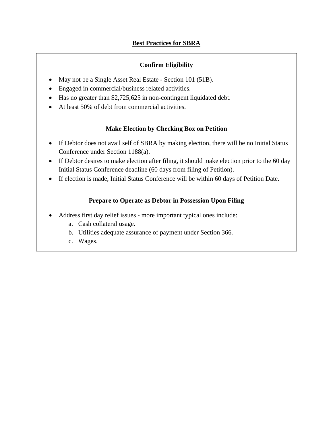# **Best Practices for SBRA**

## **Confirm Eligibility**

- May not be a Single Asset Real Estate Section 101 (51B).
- Engaged in commercial/business related activities.
- Has no greater than \$2,725,625 in non-contingent liquidated debt.
- At least 50% of debt from commercial activities.

### **Make Election by Checking Box on Petition**

- If Debtor does not avail self of SBRA by making election, there will be no Initial Status Conference under Section 1188(a).
- If Debtor desires to make election after filing, it should make election prior to the 60 day Initial Status Conference deadline (60 days from filing of Petition).
- If election is made, Initial Status Conference will be within 60 days of Petition Date.

### **Prepare to Operate as Debtor in Possession Upon Filing**

- Address first day relief issues more important typical ones include:
	- a. Cash collateral usage.
	- b. Utilities adequate assurance of payment under Section 366.
	- c. Wages.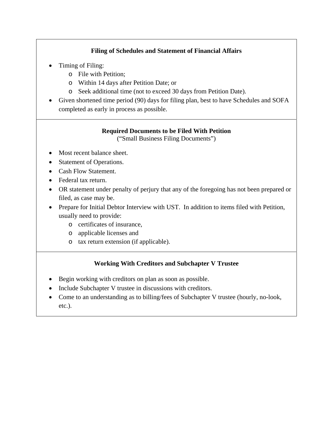# **Filing of Schedules and Statement of Financial Affairs**

- Timing of Filing:
	- o File with Petition;
	- o Within 14 days after Petition Date; or
	- o Seek additional time (not to exceed 30 days from Petition Date).
- Given shortened time period (90) days for filing plan, best to have Schedules and SOFA completed as early in process as possible.

# **Required Documents to be Filed With Petition**

("Small Business Filing Documents")

- Most recent balance sheet.
- Statement of Operations.
- Cash Flow Statement.
- Federal tax return.
- OR statement under penalty of perjury that any of the foregoing has not been prepared or filed, as case may be.
- Prepare for Initial Debtor Interview with UST. In addition to items filed with Petition, usually need to provide:
	- o certificates of insurance,
	- o applicable licenses and
	- o tax return extension (if applicable).

## **Working With Creditors and Subchapter V Trustee**

- Begin working with creditors on plan as soon as possible.
- Include Subchapter V trustee in discussions with creditors.
- Come to an understanding as to billing/fees of Subchapter V trustee (hourly, no-look, etc.).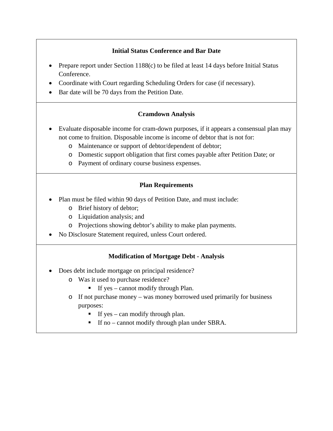## **Initial Status Conference and Bar Date**

- Prepare report under Section 1188(c) to be filed at least 14 days before Initial Status Conference.
- Coordinate with Court regarding Scheduling Orders for case (if necessary).
- Bar date will be 70 days from the Petition Date.

### **Cramdown Analysis**

- Evaluate disposable income for cram-down purposes, if it appears a consensual plan may not come to fruition. Disposable income is income of debtor that is not for:
	- o Maintenance or support of debtor/dependent of debtor;
	- o Domestic support obligation that first comes payable after Petition Date; or
	- o Payment of ordinary course business expenses.

### **Plan Requirements**

- Plan must be filed within 90 days of Petition Date, and must include:
	- o Brief history of debtor;
	- o Liquidation analysis; and
	- o Projections showing debtor's ability to make plan payments.
- No Disclosure Statement required, unless Court ordered.

## **Modification of Mortgage Debt - Analysis**

- Does debt include mortgage on principal residence?
	- o Was it used to purchase residence?
		- If yes cannot modify through Plan.
	- o If not purchase money was money borrowed used primarily for business purposes:
		- If yes can modify through plan.
		- If no cannot modify through plan under SBRA.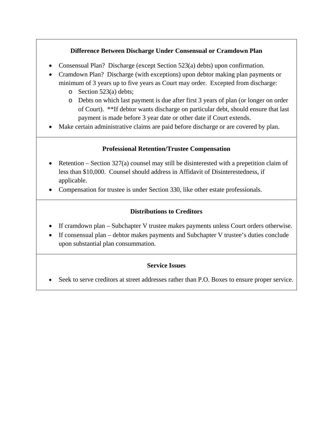## **Difference Between Discharge Under Consensual or Cramdown Plan**

- Consensual Plan? Discharge (except Section 523(a) debts) upon confirmation.
- Cramdown Plan? Discharge (with exceptions) upon debtor making plan payments or minimum of 3 years up to five years as Court may order. Excepted from discharge:
	- o Section 523(a) debts;
	- o Debts on which last payment is due after first 3 years of plan (or longer on order of Court). \*\*If debtor wants discharge on particular debt, should ensure that last payment is made before 3 year date or other date if Court extends.
- Make certain administrative claims are paid before discharge or are covered by plan.

### **Professional Retention/Trustee Compensation**

- Retention Section  $327(a)$  counsel may still be disinterested with a prepetition claim of less than \$10,000. Counsel should address in Affidavit of Disinterestedness, if applicable.
- Compensation for trustee is under Section 330, like other estate professionals.

### **Distributions to Creditors**

- If cramdown plan Subchapter V trustee makes payments unless Court orders otherwise.
- If consensual plan debtor makes payments and Subchapter V trustee's duties conclude upon substantial plan consummation.

### **Service Issues**

Seek to serve creditors at street addresses rather than P.O. Boxes to ensure proper service.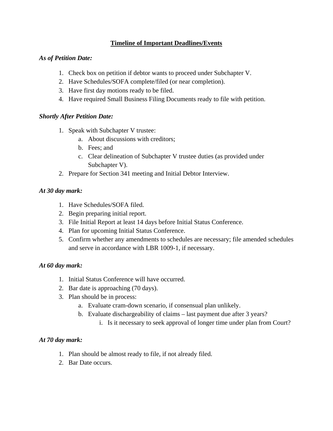## **Timeline of Important Deadlines/Events**

#### *As of Petition Date:*

- 1. Check box on petition if debtor wants to proceed under Subchapter V.
- 2. Have Schedules/SOFA complete/filed (or near completion).
- 3. Have first day motions ready to be filed.
- 4. Have required Small Business Filing Documents ready to file with petition.

#### *Shortly After Petition Date:*

- 1. Speak with Subchapter V trustee:
	- a. About discussions with creditors;
	- b. Fees; and
	- c. Clear delineation of Subchapter V trustee duties (as provided under Subchapter V).
- 2. Prepare for Section 341 meeting and Initial Debtor Interview.

#### *At 30 day mark:*

- 1. Have Schedules/SOFA filed.
- 2. Begin preparing initial report.
- 3. File Initial Report at least 14 days before Initial Status Conference.
- 4. Plan for upcoming Initial Status Conference.
- 5. Confirm whether any amendments to schedules are necessary; file amended schedules and serve in accordance with LBR 1009-1, if necessary.

#### *At 60 day mark:*

- 1. Initial Status Conference will have occurred.
- 2. Bar date is approaching (70 days).
- 3. Plan should be in process:
	- a. Evaluate cram-down scenario, if consensual plan unlikely.
	- b. Evaluate dischargeability of claims last payment due after 3 years?
		- i. Is it necessary to seek approval of longer time under plan from Court?

### *At 70 day mark:*

- 1. Plan should be almost ready to file, if not already filed.
- 2. Bar Date occurs.